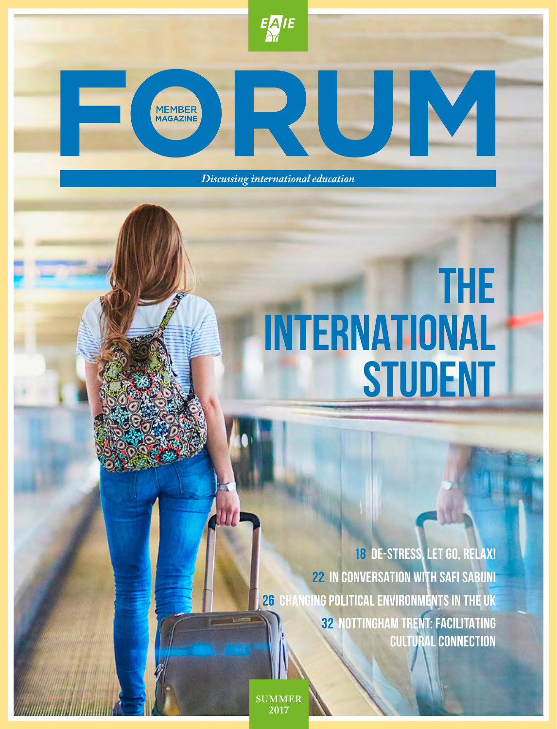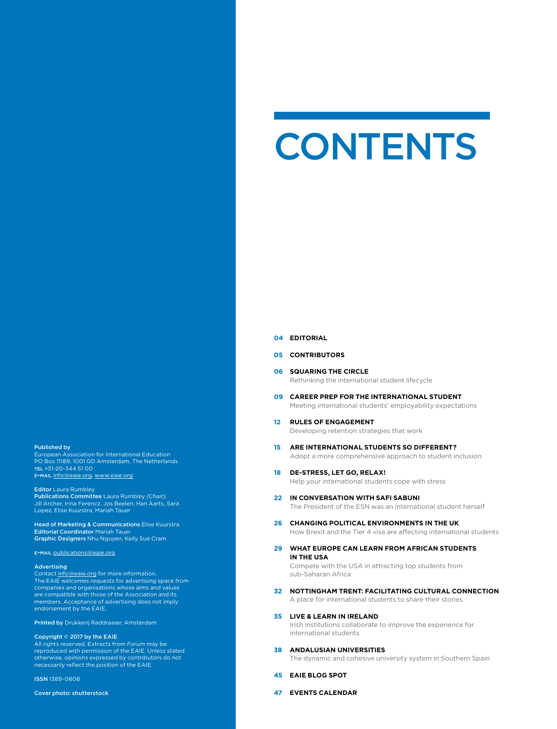#### Published by

European Association for International Education PO Box 11189, 1001 GD Amsterdam, The Netherlands tel +31-20-344 51 00 e-mail info@eaie.org, www.eaie.org

#### Editor Laura Rumbley

Publications Committee Laura Rumbley *(Chair)*, Jill Archer, Irina Ferencz, Jos Beelen, Han Aarts, Sara Lopez, Elise Kuurstra, Mariah Tauer

Head of Marketing & Communications Elise Kuurstra **Editorial Coordinator Mariah Taue** Graphic Designers Nhu Nguyen, Kelly Sue Cram

### e-mail publications@eaie.org

#### Advertising

Contact info@eaie.org for more information. The EAIE welcomes requests for advertising space from companies and organisations whose aims and values are compatible with those of the Association and its members. Acceptance of advertising does not imply endorsement by the EAIE.

Printed by Drukkerij Raddraaier, Amsterdam

#### Copyright © 2017 by the EAIE

All rights reserved. Extracts from *Forum* may be reproduced with permission of the EAIE. Unless stated otherwise, opinions expressed by contributors do not necessarily reflect the position of the EAIE.

ISSN 1389-0808

#### Cover photo: shutterstock

# **CONTENTS**

#### **04 EDITORIAL**

### **05 CONTRIBUTORS**

- **06 SQUARING THE CIRCLE** Rethinking the international student lifecycle
- **09 CAREER PREP FOR THE INTERNATIONAL STUDENT** Meeting international students' employability expectations
- **12 RULES OF ENGAGEMENT** Developing retention strategies that work
- **15 ARE INTERNATIONAL STUDENTS SO DIFFERENT?**  Adopt a more comprehensive approach to student inclusion
- **18 DE-STRESS, LET GO, RELAX!** Help your international students cope with stress
- **22 IN CONVERSATION WITH SAFI SABUNI** The President of the ESN was an international student herself
- **26 CHANGING POLITICAL ENVIRONMENTS IN THE UK** How Brexit and the Tier 4 visa are affecting international students
- **29 WHAT EUROPE CAN LEARN FROM AFRICAN STUDENTS IN THE USA** Compete with the USA in attracting top students from

sub-Saharan Africa

**32 NOTTINGHAM TRENT: FACILITATING CULTURAL CONNECTION** A place for international students to share their stories

#### **35 LIVE & LEARN IN IRELAND**

Irish institutions collaborate to improve the experience for international students

**38 ANDALUSIAN UNIVERSITIES**

The dynamic and cohesive university system in Southern Spain

- **45 EAIE BLOG SPOT**
- **47 EVENTS CALENDAR**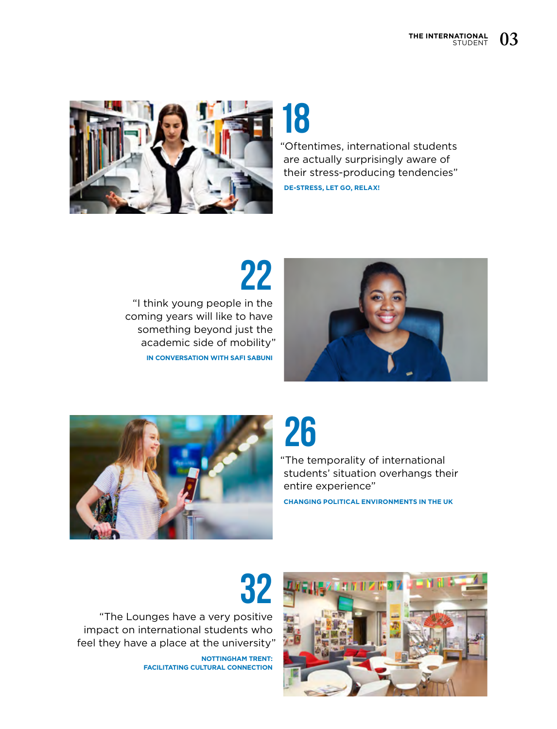

**18** "Oftentimes, international students are actually surprisingly aware of their stress-producing tendencies"

**DE-STRESS, LET GO, RELAX!** 

**22** "I think young people in the coming years will like to have something beyond just the academic side of mobility" **IN CONVERSATION WITH SAFI SABUNI**





**26**

"The temporality of international students' situation overhangs their entire experience"

**CHANGING POLITICAL ENVIRONMENTS IN THE UK**

"The Lounges have a very positive impact on international students who feel they have a place at the university"

> **NOTTINGHAM TRENT: FACILITATING CULTURAL CONNECTION**

**32**

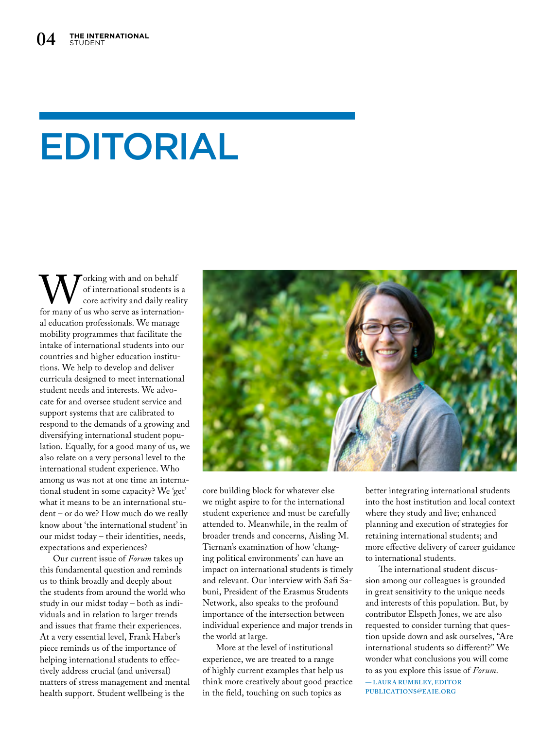# EDITORIAL

Working with and on behalf<br>
of international students is a<br>
for many of us who serve as internationof international students is a core activity and daily reality al education professionals. We manage mobility programmes that facilitate the intake of international students into our countries and higher education institutions. We help to develop and deliver curricula designed to meet international student needs and interests. We advocate for and oversee student service and support systems that are calibrated to respond to the demands of a growing and diversifying international student population. Equally, for a good many of us, we also relate on a very personal level to the international student experience. Who among us was not at one time an international student in some capacity? We 'get' what it means to be an international student – or do we? How much do we really know about 'the international student' in our midst today – their identities, needs, expectations and experiences?

Our current issue of *Forum* takes up this fundamental question and reminds us to think broadly and deeply about the students from around the world who study in our midst today – both as individuals and in relation to larger trends and issues that frame their experiences. At a very essential level, Frank Haber's piece reminds us of the importance of helping international students to effectively address crucial (and universal) matters of stress management and mental health support. Student wellbeing is the



core building block for whatever else we might aspire to for the international student experience and must be carefully attended to. Meanwhile, in the realm of broader trends and concerns, Aisling M. Tiernan's examination of how 'changing political environments' can have an impact on international students is timely and relevant. Our interview with Safi Sabuni, President of the Erasmus Students Network, also speaks to the profound importance of the intersection between individual experience and major trends in the world at large.

More at the level of institutional experience, we are treated to a range of highly current examples that help us think more creatively about good practice in the field, touching on such topics as

better integrating international students into the host institution and local context where they study and live; enhanced planning and execution of strategies for retaining international students; and more effective delivery of career guidance to international students.

The international student discussion among our colleagues is grounded in great sensitivity to the unique needs and interests of this population. But, by contributor Elspeth Jones, we are also requested to consider turning that question upside down and ask ourselves, "Are international students so different?" We wonder what conclusions you will come to as you explore this issue of *Forum*. — **LAUR A RUMBLEY, EDITOR PUBLICATIONS@EAIE.ORG**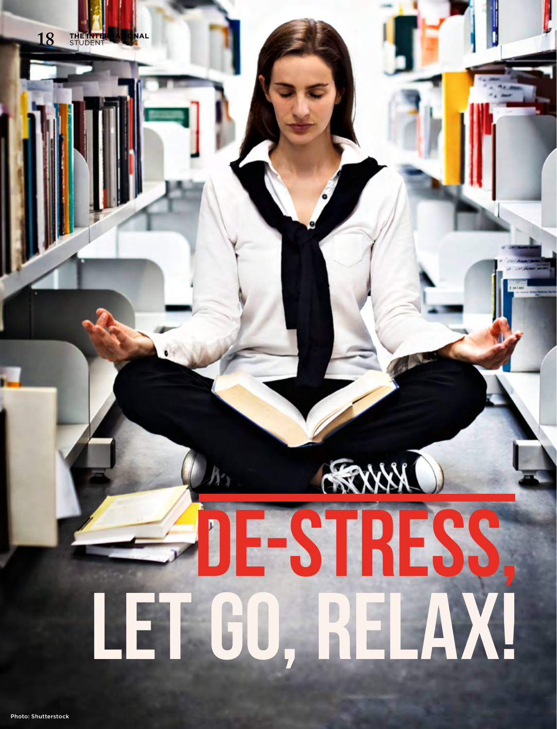# DE-STR **LET GO, RELAX!**

**18 THE INTERNATIONAL** STUDENT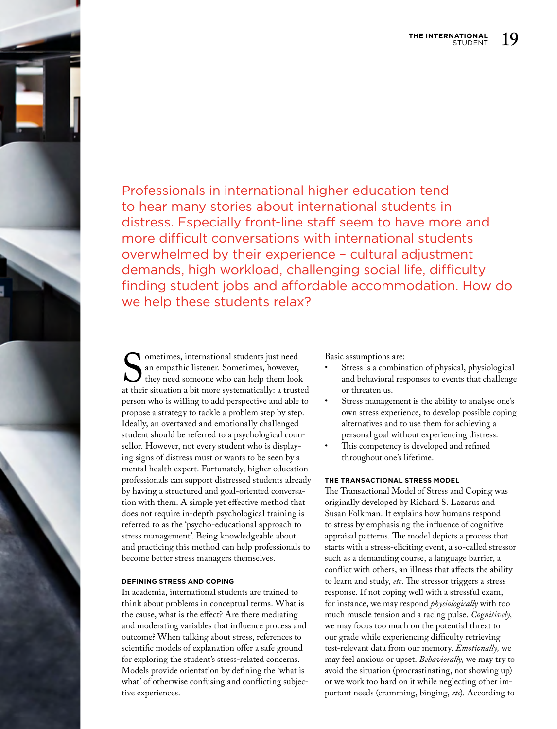Professionals in international higher education tend to hear many stories about international students in distress. Especially front-line staff seem to have more and more difficult conversations with international students overwhelmed by their experience – cultural adjustment demands, high workload, challenging social life, difficulty finding student jobs and affordable accommodation. How do we help these students relax?

Sometimes, international students just need<br>an empathic listener. Sometimes, however,<br>they need someone who can help them look<br>at their situation a bit more systematically: a trust an empathic listener. Sometimes, however, they need someone who can help them look at their situation a bit more systematically: a trusted person who is willing to add perspective and able to propose a strategy to tackle a problem step by step. Ideally, an overtaxed and emotionally challenged student should be referred to a psychological counsellor. However, not every student who is displaying signs of distress must or wants to be seen by a mental health expert. Fortunately, higher education professionals can support distressed students already by having a structured and goal-oriented conversation with them. A simple yet effective method that does not require in-depth psychological training is referred to as the 'psycho-educational approach to stress management'. Being knowledgeable about and practicing this method can help professionals to become better stress managers themselves.

## **DEFINING STRESS AND COPING**

In academia, international students are trained to think about problems in conceptual terms. What is the cause, what is the effect? Are there mediating and moderating variables that influence process and outcome? When talking about stress, references to scientific models of explanation offer a safe ground for exploring the student's stress-related concerns. Models provide orientation by defining the 'what is what' of otherwise confusing and conflicting subjective experiences.

Basic assumptions are:

- Stress is a combination of physical, physiological and behavioral responses to events that challenge or threaten us.
- Stress management is the ability to analyse one's own stress experience, to develop possible coping alternatives and to use them for achieving a personal goal without experiencing distress.
- This competency is developed and refined throughout one's lifetime.

## **THE TRANSACTIONAL STRESS MODEL**

The Transactional Model of Stress and Coping was originally developed by Richard S. Lazarus and Susan Folkman. It explains how humans respond to stress by emphasising the influence of cognitive appraisal patterns. The model depicts a process that starts with a stress-eliciting event, a so-called stressor such as a demanding course, a language barrier, a conflict with others, an illness that affects the ability to learn and study, *etc*. The stressor triggers a stress response. If not coping well with a stressful exam, for instance, we may respond *physiologically* with too much muscle tension and a racing pulse. *Cognitively,*  we may focus too much on the potential threat to our grade while experiencing difficulty retrieving test-relevant data from our memory. *Emotionally,* we may feel anxious or upset. *Behaviorally,* we may try to avoid the situation (procrastinating, not showing up) or we work too hard on it while neglecting other important needs (cramming, binging, *etc*). According to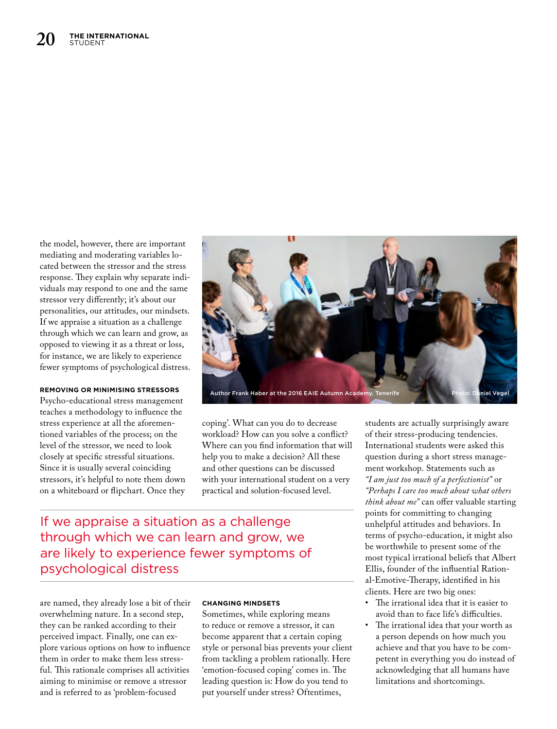the model, however, there are important mediating and moderating variables located between the stressor and the stress response. They explain why separate individuals may respond to one and the same stressor very differently; it's about our personalities, our attitudes, our mindsets. If we appraise a situation as a challenge through which we can learn and grow, as opposed to viewing it as a threat or loss, for instance, we are likely to experience fewer symptoms of psychological distress.

# **REMOVING OR MINIMISING STRESSORS**

Psycho-educational stress management teaches a methodology to influence the stress experience at all the aforementioned variables of the process; on the level of the stressor, we need to look closely at specific stressful situations. Since it is usually several coinciding stressors, it's helpful to note them down on a whiteboard or flipchart. Once they



coping'. What can you do to decrease workload? How can you solve a conflict? Where can you find information that will help you to make a decision? All these and other questions can be discussed with your international student on a very practical and solution-focused level.

If we appraise a situation as a challenge through which we can learn and grow, we are likely to experience fewer symptoms of psychological distress

are named, they already lose a bit of their overwhelming nature. In a second step, they can be ranked according to their perceived impact. Finally, one can explore various options on how to influence them in order to make them less stressful. This rationale comprises all activities aiming to minimise or remove a stressor and is referred to as 'problem-focused

# **CHANGING MINDSETS**

Sometimes, while exploring means to reduce or remove a stressor, it can become apparent that a certain coping style or personal bias prevents your client from tackling a problem rationally. Here 'emotion-focused coping' comes in. The leading question is: How do you tend to put yourself under stress? Oftentimes,

students are actually surprisingly aware of their stress-producing tendencies. International students were asked this question during a short stress management workshop. Statements such as *"I am just too much of a perfectionist"* or *"Perhaps I care too much about what others think about me"* can offer valuable starting points for committing to changing unhelpful attitudes and behaviors. In terms of psycho-education, it might also be worthwhile to present some of the most typical irrational beliefs that Albert Ellis, founder of the influential Rational-Emotive-Therapy, identified in his clients. Here are two big ones:

- The irrational idea that it is easier to avoid than to face life's difficulties.
- The irrational idea that your worth as a person depends on how much you achieve and that you have to be competent in everything you do instead of acknowledging that all humans have limitations and shortcomings.